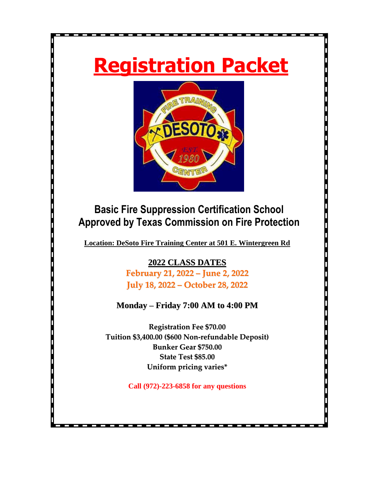# **Registration Packet**



# **Basic Fire Suppression Certification School Approved by Texas Commission on Fire Protection**

**Location: DeSoto Fire Training Center at 501 E. Wintergreen Rd**

**2022 CLASS DATES February 21, 2022 – June 2, 2022 July 18, 2022 – October 28, 2022**

# **Monday – Friday 7:00 AM to 4:00 PM**

**Registration Fee \$70.00 Tuition \$3,400.00 (\$600 Non-refundable Deposit) Bunker Gear \$750.00 State Test \$85.00 Uniform pricing varies\***

**Call (972)-223-6858 for any questions**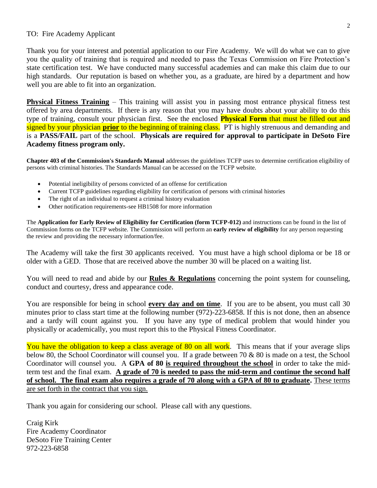#### TO: Fire Academy Applicant

Thank you for your interest and potential application to our Fire Academy. We will do what we can to give you the quality of training that is required and needed to pass the Texas Commission on Fire Protection's state certification test. We have conducted many successful academies and can make this claim due to our high standards. Our reputation is based on whether you, as a graduate, are hired by a department and how well you are able to fit into an organization.

**Physical Fitness Training** – This training will assist you in passing most entrance physical fitness test offered by area departments. If there is any reason that you may have doubts about your ability to do this type of training, consult your physician first. See the enclosed **Physical Form** that must be filled out and signed by your physician **prior** to the beginning of training class. PT is highly strenuous and demanding and is a **PASS/FAIL** part of the school. **Physicals are required for approval to participate in DeSoto Fire Academy fitness program only.**

**Chapter 403 of the Commission's Standards Manual** addresses the guidelines TCFP uses to determine certification eligibility of persons with criminal histories. The Standards Manual can be accessed on the TCFP website.

- Potential ineligibility of persons convicted of an offense for certification
- Current TCFP guidelines regarding eligibility for certification of persons with criminal histories
- The right of an individual to request a criminal history evaluation
- Other notification requirements-see HB1508 for more information

The **Application for Early Review of Eligibility for Certification (form TCFP-012)** and instructions can be found in the list of Commission forms on the TCFP website. The Commission will perform an **early review of eligibility** for any person requesting the review and providing the necessary information/fee.

The Academy will take the first 30 applicants received. You must have a high school diploma or be 18 or older with a GED. Those that are received above the number 30 will be placed on a waiting list.

You will need to read and abide by our **Rules & Regulations** concerning the point system for counseling, conduct and courtesy, dress and appearance code.

You are responsible for being in school **every day and on time**. If you are to be absent, you must call 30 minutes prior to class start time at the following number (972)-223-6858. If this is not done, then an absence and a tardy will count against you. If you have any type of medical problem that would hinder you physically or academically, you must report this to the Physical Fitness Coordinator.

You have the obligation to keep a class average of 80 on all work. This means that if your average slips below 80, the School Coordinator will counsel you. If a grade between 70 & 80 is made on a test, the School Coordinator will counsel you. A **GPA of 80 is required throughout the school** in order to take the midterm test and the final exam. **A grade of 70 is needed to pass the mid-term and continue the second half of school. The final exam also requires a grade of 70 along with a GPA of 80 to graduate.** These terms are set forth in the contract that you sign.

Thank you again for considering our school. Please call with any questions.

Craig Kirk Fire Academy Coordinator DeSoto Fire Training Center 972-223-6858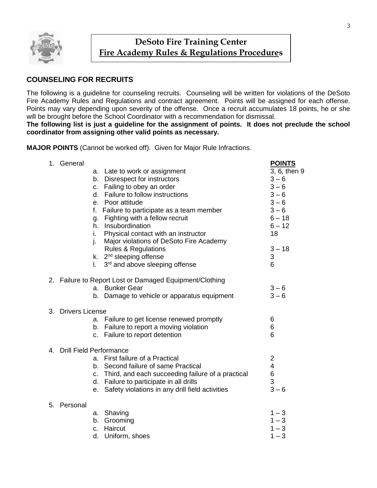

# **DeSoto Fire Training Center Fire Academy Rules & Regulations Procedures**

#### **COUNSELING FOR RECRUITS**

The following is a guideline for counseling recruits. Counseling will be written for violations of the DeSoto Fire Academy Rules and Regulations and contract agreement. Points will be assigned for each offense. Points may vary depending upon severity of the offense. Once a recruit accumulates 18 points, he or she will be brought before the School Coordinator with a recommendation for dismissal.

**The following list is just a guideline for the assignment of points. It does not preclude the school coordinator from assigning other valid points as necessary.**

**MAJOR POINTS** (Cannot be worked off). Given for Major Rule Infractions.

| 1. | General                        |    |                                                         | <b>POINTS</b>           |
|----|--------------------------------|----|---------------------------------------------------------|-------------------------|
|    |                                | a. | Late to work or assignment                              | 3, 6, then 9            |
|    |                                | b. | Disrespect for instructors                              | $3 - 6$                 |
|    |                                | c. | Failing to obey an order                                | $3 - 6$                 |
|    |                                | d. | Failure to follow instructions                          | $3 - 6$                 |
|    |                                | е. | Poor attitude                                           | $3 - 6$                 |
|    |                                | f. | Failure to participate as a team member                 | $3 - 6$                 |
|    |                                | g. | Fighting with a fellow recruit                          | $6 - 18$                |
|    |                                |    | h. Insubordination                                      | $6 - 12$                |
|    |                                | i. | Physical contact with an instructor                     | 18                      |
|    |                                | j. | Major violations of DeSoto Fire Academy                 |                         |
|    |                                |    | <b>Rules &amp; Regulations</b>                          | $3 - 18$                |
|    |                                |    | k. 2 <sup>nd</sup> sleeping offense                     | 3                       |
|    |                                | I. | 3 <sup>rd</sup> and above sleeping offense              | 6                       |
|    |                                |    | 2. Failure to Report Lost or Damaged Equipment/Clothing |                         |
|    |                                | a. | <b>Bunker Gear</b>                                      | $3 - 6$                 |
|    |                                | b. | Damage to vehicle or apparatus equipment                | $3 - 6$                 |
| 3. | <b>Drivers License</b>         |    |                                                         |                         |
|    |                                |    | a. Failure to get license renewed promptly              | 6                       |
|    |                                |    | b. Failure to report a moving violation                 | 6                       |
|    |                                |    | c. Failure to report detention                          | 6                       |
| 4. | <b>Drill Field Performance</b> |    |                                                         |                         |
|    |                                |    | a. First failure of a Practical                         | $\overline{\mathbf{c}}$ |
|    |                                |    | b. Second failure of same Practical                     | $\overline{\mathbf{4}}$ |
|    |                                |    | c. Third, and each succeeding failure of a practical    | 6                       |
|    |                                |    | d. Failure to participate in all drills                 | 3                       |
|    |                                | е. | Safety violations in any drill field activities         | $3-6$                   |
| 5. | Personal                       |    |                                                         |                         |
|    |                                | a. | Shaving                                                 | $1 - 3$                 |
|    |                                | b. | Grooming                                                | $1 - 3$                 |
|    |                                | c. | Haircut                                                 | $1 - 3$                 |
|    |                                | d. | Uniform, shoes                                          | $1 - 3$                 |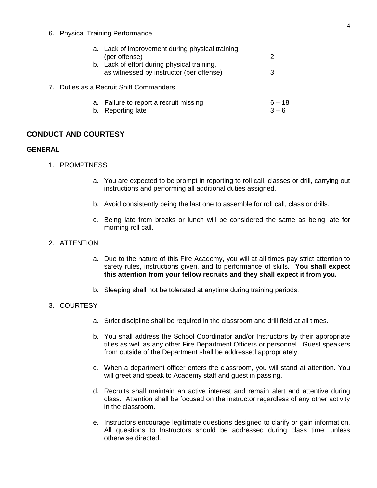6. Physical Training Performance

|    | a. Lack of improvement during physical training |          |
|----|-------------------------------------------------|----------|
|    | (per offense)                                   | 2        |
|    | b. Lack of effort during physical training,     |          |
|    | as witnessed by instructor (per offense)        | З        |
|    | as a Recruit Shift Commanders                   |          |
|    | a. Failure to report a recruit missing          | $6 - 18$ |
| b. | <b>Reporting late</b>                           |          |

#### **CONDUCT AND COURTESY**

7. Duties

#### **GENERAL**

- 1. PROMPTNESS
	- a. You are expected to be prompt in reporting to roll call, classes or drill, carrying out instructions and performing all additional duties assigned.
	- b. Avoid consistently being the last one to assemble for roll call, class or drills.
	- c. Being late from breaks or lunch will be considered the same as being late for morning roll call.
- 2. ATTENTION
	- a. Due to the nature of this Fire Academy, you will at all times pay strict attention to safety rules, instructions given, and to performance of skills. **You shall expect this attention from your fellow recruits and they shall expect it from you.**
	- b. Sleeping shall not be tolerated at anytime during training periods.

#### 3. COURTESY

- a. Strict discipline shall be required in the classroom and drill field at all times.
- b. You shall address the School Coordinator and/or Instructors by their appropriate titles as well as any other Fire Department Officers or personnel. Guest speakers from outside of the Department shall be addressed appropriately.
- c. When a department officer enters the classroom, you will stand at attention. You will greet and speak to Academy staff and guest in passing.
- d. Recruits shall maintain an active interest and remain alert and attentive during class. Attention shall be focused on the instructor regardless of any other activity in the classroom.
- e. Instructors encourage legitimate questions designed to clarify or gain information. All questions to Instructors should be addressed during class time, unless otherwise directed.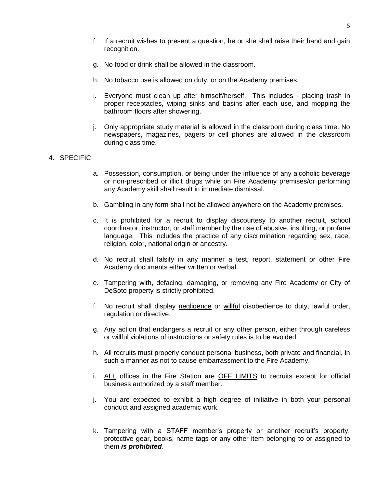- f. If a recruit wishes to present a question, he or she shall raise their hand and gain recognition.
- g. No food or drink shall be allowed in the classroom.
- h. No tobacco use is allowed on duty, or on the Academy premises.
- i. Everyone must clean up after himself/herself. This includes placing trash in proper receptacles, wiping sinks and basins after each use, and mopping the bathroom floors after showering.
- j. Only appropriate study material is allowed in the classroom during class time. No newspapers, magazines, pagers or cell phones are allowed in the classroom during class time.

#### 4. SPECIFIC

- a. Possession, consumption, or being under the influence of any alcoholic beverage or non-prescribed or illicit drugs while on Fire Academy premises/or performing any Academy skill shall result in immediate dismissal.
- b. Gambling in any form shall not be allowed anywhere on the Academy premises.
- c. It is prohibited for a recruit to display discourtesy to another recruit, school coordinator, instructor, or staff member by the use of abusive, insulting, or profane language. This includes the practice of any discrimination regarding sex, race, religion, color, national origin or ancestry.
- d. No recruit shall falsify in any manner a test, report, statement or other Fire Academy documents either written or verbal.
- e. Tampering with, defacing, damaging, or removing any Fire Academy or City of DeSoto property is strictly prohibited.
- f. No recruit shall display negligence or willful disobedience to duty, lawful order, regulation or directive.
- g. Any action that endangers a recruit or any other person, either through careless or willful violations of instructions or safety rules is to be avoided.
- h. All recruits must properly conduct personal business, both private and financial, in such a manner as not to cause embarrassment to the Fire Academy.
- i. ALL offices in the Fire Station are OFF LIMITS to recruits except for official business authorized by a staff member.
- j. You are expected to exhibit a high degree of initiative in both your personal conduct and assigned academic work.
- k. Tampering with a STAFF member's property or another recruit's property, protective gear, books, name tags or any other item belonging to or assigned to them *is prohibited*.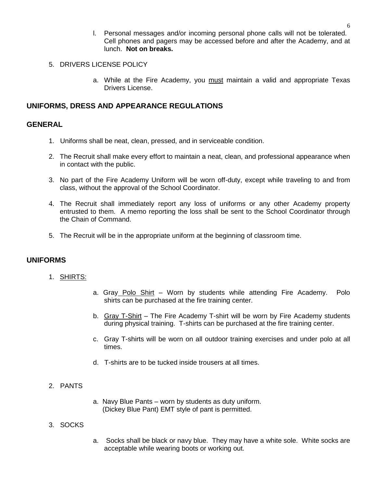- l. Personal messages and/or incoming personal phone calls will not be tolerated. Cell phones and pagers may be accessed before and after the Academy, and at lunch. **Not on breaks.**
- 5. DRIVERS LICENSE POLICY
	- a. While at the Fire Academy, you must maintain a valid and appropriate Texas Drivers License.

#### **UNIFORMS, DRESS AND APPEARANCE REGULATIONS**

#### **GENERAL**

- 1. Uniforms shall be neat, clean, pressed, and in serviceable condition.
- 2. The Recruit shall make every effort to maintain a neat, clean, and professional appearance when in contact with the public.
- 3. No part of the Fire Academy Uniform will be worn off-duty, except while traveling to and from class, without the approval of the School Coordinator.
- 4. The Recruit shall immediately report any loss of uniforms or any other Academy property entrusted to them. A memo reporting the loss shall be sent to the School Coordinator through the Chain of Command.
- 5. The Recruit will be in the appropriate uniform at the beginning of classroom time.

#### **UNIFORMS**

- 1. SHIRTS:
- a. Gray Polo Shirt Worn by students while attending Fire Academy. Polo shirts can be purchased at the fire training center.
- b. Gray T-Shirt The Fire Academy T-shirt will be worn by Fire Academy students during physical training. T-shirts can be purchased at the fire training center.
- c. Gray T-shirts will be worn on all outdoor training exercises and under polo at all times.
- d. T-shirts are to be tucked inside trousers at all times.

#### 2. PANTS

a. Navy Blue Pants – worn by students as duty uniform. (Dickey Blue Pant) EMT style of pant is permitted.

#### 3. SOCKS

a. Socks shall be black or navy blue. They may have a white sole. White socks are acceptable while wearing boots or working out.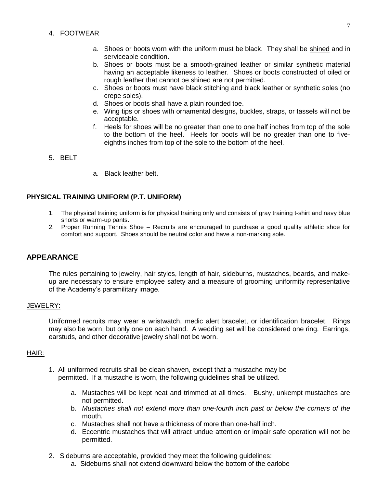- 4. FOOTWEAR
	- a. Shoes or boots worn with the uniform must be black. They shall be shined and in serviceable condition.
	- b. Shoes or boots must be a smooth-grained leather or similar synthetic material having an acceptable likeness to leather. Shoes or boots constructed of oiled or rough leather that cannot be shined are not permitted.
	- c. Shoes or boots must have black stitching and black leather or synthetic soles (no crepe soles).
	- d. Shoes or boots shall have a plain rounded toe.
	- e. Wing tips or shoes with ornamental designs, buckles, straps, or tassels will not be acceptable.
	- f. Heels for shoes will be no greater than one to one half inches from top of the sole to the bottom of the heel. Heels for boots will be no greater than one to fiveeighths inches from top of the sole to the bottom of the heel.
- 5. BELT
- a. Black leather belt.

#### **PHYSICAL TRAINING UNIFORM (P.T. UNIFORM)**

- 1. The physical training uniform is for physical training only and consists of gray training t-shirt and navy blue shorts or warm-up pants.
- 2. Proper Running Tennis Shoe Recruits are encouraged to purchase a good quality athletic shoe for comfort and support. Shoes should be neutral color and have a non-marking sole.

#### **APPEARANCE**

The rules pertaining to jewelry, hair styles, length of hair, sideburns, mustaches, beards, and makeup are necessary to ensure employee safety and a measure of grooming uniformity representative of the Academy's paramilitary image.

#### JEWELRY:

Uniformed recruits may wear a wristwatch, medic alert bracelet, or identification bracelet. Rings may also be worn, but only one on each hand. A wedding set will be considered one ring. Earrings, earstuds, and other decorative jewelry shall not be worn.

#### HAIR:

- 1. All uniformed recruits shall be clean shaven, except that a mustache may be permitted. If a mustache is worn, the following guidelines shall be utilized.
	- a. Mustaches will be kept neat and trimmed at all times. Bushy, unkempt mustaches are not permitted.
	- b. *Mustaches shall not extend more than one-fourth inch past or below the corners of the* mouth.
	- c. Mustaches shall not have a thickness of more than one-half inch.
	- d. Eccentric mustaches that will attract undue attention or impair safe operation will not be permitted.
- 2. Sideburns are acceptable, provided they meet the following guidelines:
	- a. Sideburns shall not extend downward below the bottom of the earlobe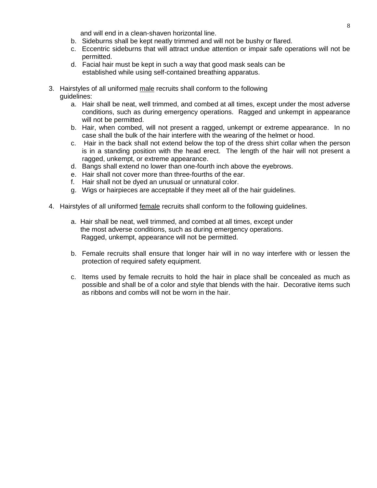and will end in a clean-shaven horizontal line.

- b. Sideburns shall be kept neatly trimmed and will not be bushy or flared.
- c. Eccentric sideburns that will attract undue attention or impair safe operations will not be permitted.
- d. Facial hair must be kept in such a way that good mask seals can be established while using self-contained breathing apparatus.
- 3. Hairstyles of all uniformed male recruits shall conform to the following guidelines:
	- a. Hair shall be neat, well trimmed, and combed at all times, except under the most adverse conditions, such as during emergency operations. Ragged and unkempt in appearance will not be permitted.
	- b. Hair, when combed, will not present a ragged, unkempt or extreme appearance. In no case shall the bulk of the hair interfere with the wearing of the helmet or hood.
	- c. Hair in the back shall not extend below the top of the dress shirt collar when the person is in a standing position with the head erect. The length of the hair will not present a ragged, unkempt, or extreme appearance.
	- d. Bangs shall extend no lower than one-fourth inch above the eyebrows.
	- e. Hair shall not cover more than three-fourths of the ear.
	- f. Hair shall not be dyed an unusual or unnatural color.
	- g. Wigs or hairpieces are acceptable if they meet all of the hair guidelines.
- 4. Hairstyles of all uniformed female recruits shall conform to the following guidelines.
	- a. Hair shall be neat, well trimmed, and combed at all times, except under the most adverse conditions, such as during emergency operations. Ragged, unkempt, appearance will not be permitted.
	- b. Female recruits shall ensure that longer hair will in no way interfere with or lessen the protection of required safety equipment.
	- c. Items used by female recruits to hold the hair in place shall be concealed as much as possible and shall be of a color and style that blends with the hair. Decorative items such as ribbons and combs will not be worn in the hair.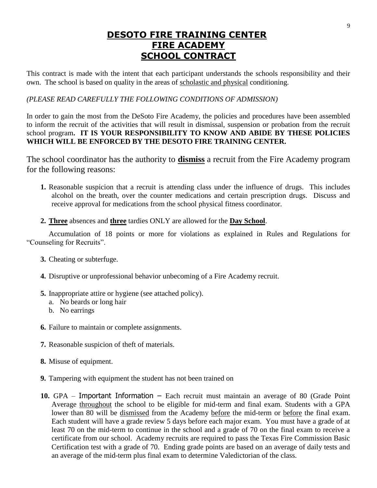# **DESOTO FIRE TRAINING CENTER FIRE ACADEMY SCHOOL CONTRACT**

This contract is made with the intent that each participant understands the schools responsibility and their own. The school is based on quality in the areas of scholastic and physical conditioning.

#### *(PLEASE READ CAREFULLY THE FOLLOWING CONDITIONS OF ADMISSION)*

In order to gain the most from the DeSoto Fire Academy, the policies and procedures have been assembled to inform the recruit of the activities that will result in dismissal, suspension or probation from the recruit school program**. IT IS YOUR RESPONSIBILITY TO KNOW AND ABIDE BY THESE POLICIES WHICH WILL BE ENFORCED BY THE DESOTO FIRE TRAINING CENTER.**

The school coordinator has the authority to **dismiss** a recruit from the Fire Academy program for the following reasons:

- **1.** Reasonable suspicion that a recruit is attending class under the influence of drugs. This includes alcohol on the breath, over the counter medications and certain prescription drugs. Discuss and receive approval for medications from the school physical fitness coordinator.
- **2. Three** absences and **three** tardies ONLY are allowed for the **Day School**.

Accumulation of 18 points or more for violations as explained in Rules and Regulations for "Counseling for Recruits".

- **3.** Cheating or subterfuge.
- **4.** Disruptive or unprofessional behavior unbecoming of a Fire Academy recruit.
- **5.** Inappropriate attire or hygiene (see attached policy).
	- a. No beards or long hair
	- b. No earrings
- **6.** Failure to maintain or complete assignments.
- **7.** Reasonable suspicion of theft of materials.
- **8.** Misuse of equipment.
- **9.** Tampering with equipment the student has not been trained on
- **10.** GPA Important Information Each recruit must maintain an average of 80 (Grade Point Average throughout the school to be eligible for mid-term and final exam. Students with a GPA lower than 80 will be dismissed from the Academy before the mid-term or before the final exam. Each student will have a grade review 5 days before each major exam. You must have a grade of at least 70 on the mid-term to continue in the school and a grade of 70 on the final exam to receive a certificate from our school. Academy recruits are required to pass the Texas Fire Commission Basic Certification test with a grade of 70. Ending grade points are based on an average of daily tests and an average of the mid-term plus final exam to determine Valedictorian of the class.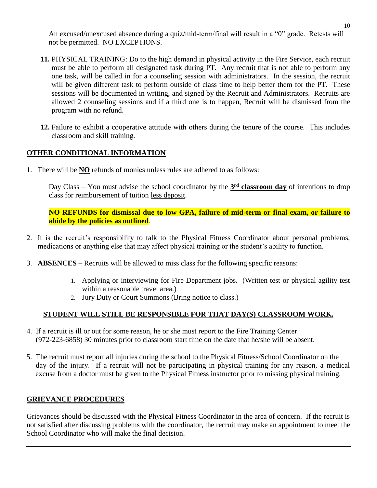An excused/unexcused absence during a quiz/mid-term/final will result in a "0" grade. Retests will not be permitted. NO EXCEPTIONS.

- **11.** PHYSICAL TRAINING: Do to the high demand in physical activity in the Fire Service, each recruit must be able to perform all designated task during PT. Any recruit that is not able to perform any one task, will be called in for a counseling session with administrators. In the session, the recruit will be given different task to perform outside of class time to help better them for the PT. These sessions will be documented in writing, and signed by the Recruit and Administrators. Recruits are allowed 2 counseling sessions and if a third one is to happen, Recruit will be dismissed from the program with no refund.
- **12.** Failure to exhibit a cooperative attitude with others during the tenure of the course. This includes classroom and skill training.

### **OTHER CONDITIONAL INFORMATION**

1. There will be **NO** refunds of monies unless rules are adhered to as follows:

Day Class – You must advise the school coordinator by the **3<sup>rd</sup> classroom day** of intentions to drop class for reimbursement of tuition less deposit.

**NO REFUNDS for dismissal due to low GPA, failure of mid-term or final exam, or failure to abide by the policies as outlined**.

- 2. It is the recruit's responsibility to talk to the Physical Fitness Coordinator about personal problems, medications or anything else that may affect physical training or the student's ability to function.
- 3. **ABSENCES –** Recruits will be allowed to miss class for the following specific reasons:
	- 1. Applying or interviewing for Fire Department jobs. (Written test or physical agility test within a reasonable travel area.)
	- 2. Jury Duty or Court Summons (Bring notice to class.)

## **STUDENT WILL STILL BE RESPONSIBLE FOR THAT DAY(S) CLASSROOM WORK.**

- 4. If a recruit is ill or out for some reason, he or she must report to the Fire Training Center (972-223-6858) 30 minutes prior to classroom start time on the date that he/she will be absent.
- 5. The recruit must report all injuries during the school to the Physical Fitness/School Coordinator on the day of the injury. If a recruit will not be participating in physical training for any reason, a medical excuse from a doctor must be given to the Physical Fitness instructor prior to missing physical training.

### **GRIEVANCE PROCEDURES**

Grievances should be discussed with the Physical Fitness Coordinator in the area of concern. If the recruit is not satisfied after discussing problems with the coordinator, the recruit may make an appointment to meet the School Coordinator who will make the final decision.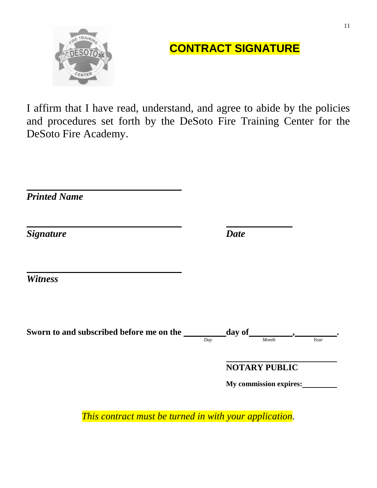

# **CONTRACT SIGNATURE**

I affirm that I have read, understand, and agree to abide by the policies and procedures set forth by the DeSoto Fire Training Center for the DeSoto Fire Academy.

| Day | Month                  | Year                                          |
|-----|------------------------|-----------------------------------------------|
|     | My commission expires: |                                               |
|     |                        | <b>Date</b><br>day of<br><b>NOTARY PUBLIC</b> |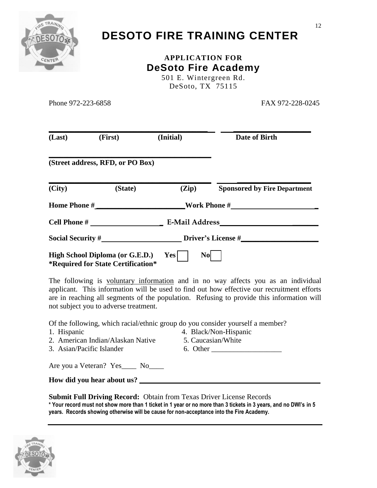

# **DESOTO FIRE TRAINING CENTER**

### **APPLICATION FOR DeSoto Fire Academy** 501 E. Wintergreen Rd.

DeSoto, TX 75115

Phone 972-223-6858 FAX 972-228-0245

| (Last)<br>(First) |                                                                               | (Initial)             | Date of Birth                       |  |  |
|-------------------|-------------------------------------------------------------------------------|-----------------------|-------------------------------------|--|--|
|                   | (Street address, RFD, or PO Box)                                              |                       |                                     |  |  |
| (City)            | (State)                                                                       | (Zip)                 | <b>Sponsored by Fire Department</b> |  |  |
|                   | Home Phone #                                                                  |                       | Work Phone #                        |  |  |
|                   |                                                                               | <b>E-Mail Address</b> |                                     |  |  |
|                   |                                                                               |                       | <b>Driver's License #</b>           |  |  |
|                   | High School Diploma (or G.E.D.)<br><i>*</i> Required for State Certification* | Yesl<br><b>No</b>     |                                     |  |  |

The following is voluntary information and in no way affects you as an individual applicant. This information will be used to find out how effective our recruitment efforts are in reaching all segments of the population. Refusing to provide this information will not subject you to adverse treatment.

Of the following, which racial/ethnic group do you consider yourself a member?

- 
- 1. Hispanic 4. Black/Non-Hispanic
- 2. American Indian/Alaskan Native 5. Caucasian/White
- 
- 
- 3. Asian/Pacific Islander 6. Other

Are you a Veteran? Yes\_\_\_\_ No\_\_\_\_

How did you hear about us?

**Submit Full Driving Record:** Obtain from Texas Driver License Records **\* Your record must not show more than 1 ticket in 1 year or no more than 3 tickets in 3 years, and no DWI's in 5 years. Records showing otherwise will be cause for non-acceptance into the Fire Academy.**

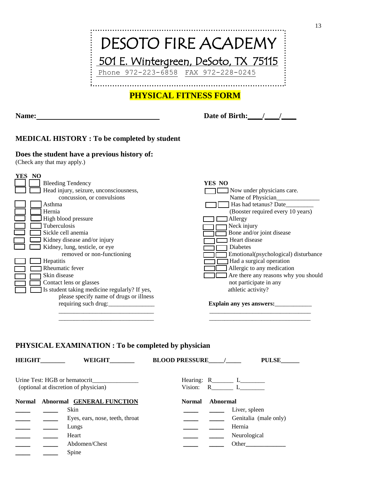

# **PHYSICAL FITNESS FORM**

**Name: Date of Birth:\_\_\_\_/\_\_\_\_/\_\_\_\_**

#### **MEDICAL HISTORY : To be completed by student**

#### **Does the student have a previous history of:**

(Check any that may apply.)

| YES NO                                        |                                      |
|-----------------------------------------------|--------------------------------------|
| <b>Bleeding Tendency</b>                      | YES NO                               |
| Head injury, seizure, unconsciousness,        | Now under physicians care.           |
| concussion, or convulsions                    | Name of Physician                    |
| Asthma                                        | Has had tetanus? Date_____           |
| Hernia                                        | (Booster required every 10 years)    |
| High blood pressure                           | <b>J</b> Allergy                     |
| Tuberculosis                                  | Neck injury                          |
| Sickle cell anemia                            | Bone and/or joint disease            |
| Kidney disease and/or injury                  | Heart disease                        |
| Kidney, lung, testicle, or eye                | Diabetes                             |
| removed or non-functioning                    | Emotional(psychological) disturbance |
| Hepatitis                                     | Had a surgical operation             |
| Rheumatic fever                               | Allergic to any medication           |
| Skin disease                                  | Are there any reasons why you should |
| Contact lens or glasses                       | not participate in any               |
| Is student taking medicine regularly? If yes, | athletic activity?                   |
| please specify name of drugs or illness       |                                      |
| requiring such drug:                          | Explain any yes answers:             |
|                                               |                                      |
|                                               |                                      |
|                                               |                                      |

#### **PHYSICAL EXAMINATION : To be completed by physician**

| <b>HEIGHT</b> | WEIGHT                                                                 | <b>BLOOD PRESSURE</b><br><b>PULSE</b>                      |  |
|---------------|------------------------------------------------------------------------|------------------------------------------------------------|--|
|               | Urine Test: HGB or hematocrit<br>(optional at discretion of physician) | Hearing: $R_{\text{2}}$ $L_{\text{2}}$<br>Vision:<br>R $L$ |  |
|               | Normal Abnormal GENERAL FUNCTION                                       | Abnormal<br><b>Normal</b>                                  |  |
|               | Skin                                                                   | Liver, spleen                                              |  |
|               | Eyes, ears, nose, teeth, throat                                        | Genitalia (male only)                                      |  |
|               | Lungs                                                                  | Hernia                                                     |  |
|               | Heart                                                                  | Neurological                                               |  |
|               | Abdomen/Chest                                                          | Other                                                      |  |
|               | Spine                                                                  |                                                            |  |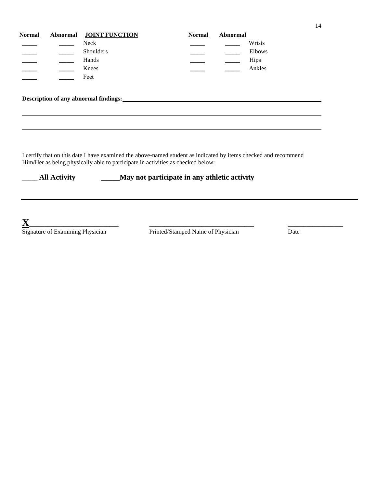| <b>Normal</b> | <b>Abnormal JOINT FUNCTION</b> | <b>Normal</b> | <b>Abnormal</b> |             |
|---------------|--------------------------------|---------------|-----------------|-------------|
|               | Neck                           |               |                 | Wrists      |
|               | Shoulders                      |               |                 | Elbows      |
|               | Hands                          |               |                 | <b>Hips</b> |
|               | Knees                          |               |                 | Ankles      |
|               | Feet                           |               |                 |             |

**Description of any abnormal findings:**

I certify that on this date I have examined the above-named student as indicated by items checked and recommend Him/Her as being physically able to participate in activities as checked below:

\_\_\_\_\_ **All Activity \_\_\_\_\_May not participate in any athletic activity**

**X**<br>
Signature of Examining Physician

Printed/Stamped Name of Physician Date